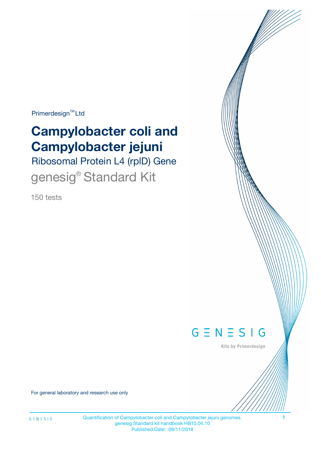Primerdesign<sup>™</sup>Ltd

# **Campylobacter coli and Campylobacter jejuni**

Ribosomal Protein L4 (rplD) Gene genesig® Standard Kit

150 tests



Kits by Primerdesign

For general laboratory and research use only

Quantification of Campylobacter coli and Campylobacter jejuni genomes. genesig Standard kit handbook HB10.04.10 Published Date: 09/11/2018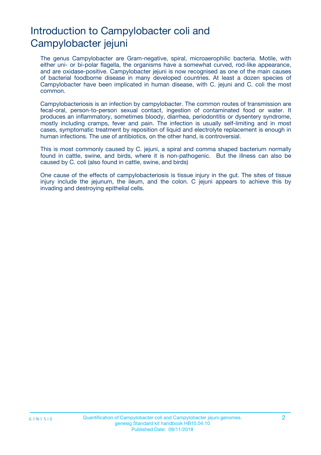# Introduction to Campylobacter coli and Campylobacter jejuni

The genus Campylobacter are Gram-negative, spiral, microaerophilic bacteria. Motile, with either uni- or bi-polar flagella, the organisms have a somewhat curved, rod-like appearance, and are oxidase-positive. Campylobacter jejuni is now recognised as one of the main causes of bacterial foodborne disease in many developed countries. At least a dozen species of Campylobacter have been implicated in human disease, with C. jejuni and C. coli the most common.

Campylobacteriosis is an infection by campylobacter. The common routes of transmission are fecal-oral, person-to-person sexual contact, ingestion of contaminated food or water. It produces an inflammatory, sometimes bloody, diarrhea, periodontitis or dysentery syndrome, mostly including cramps, fever and pain. The infection is usually self-limiting and in most cases, symptomatic treatment by reposition of liquid and electrolyte replacement is enough in human infections. The use of antibiotics, on the other hand, is controversial.

This is most commonly caused by C. jejuni, a spiral and comma shaped bacterium normally found in cattle, swine, and birds, where it is non-pathogenic. But the illness can also be caused by C. coli (also found in cattle, swine, and birds)

One cause of the effects of campylobacteriosis is tissue injury in the gut. The sites of tissue injury include the jejunum, the ileum, and the colon. C jejuni appears to achieve this by invading and destroying epithelial cells.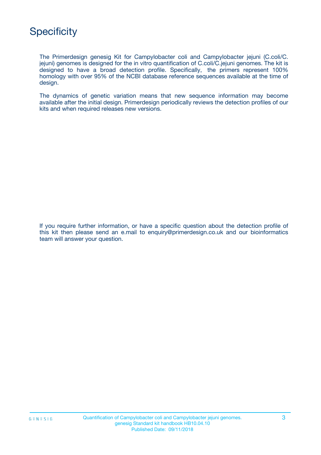## **Specificity**

The Primerdesign genesig Kit for Campylobacter coli and Campylobacter jejuni (C.coli/C. jejuni) genomes is designed for the in vitro quantification of C.coli/C.jejuni genomes. The kit is designed to have a broad detection profile. Specifically, the primers represent 100% homology with over 95% of the NCBI database reference sequences available at the time of design.

The dynamics of genetic variation means that new sequence information may become available after the initial design. Primerdesign periodically reviews the detection profiles of our kits and when required releases new versions.

If you require further information, or have a specific question about the detection profile of this kit then please send an e.mail to enquiry@primerdesign.co.uk and our bioinformatics team will answer your question.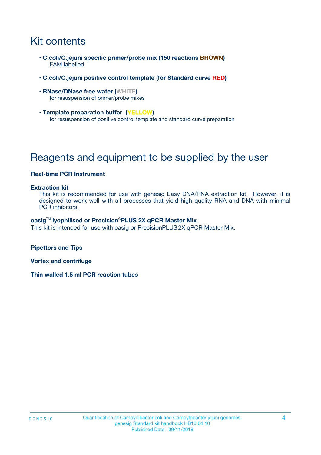# Kit contents

- **C.coli/C.jejuni specific primer/probe mix (150 reactions BROWN)** FAM labelled
- **C.coli/C.jejuni positive control template (for Standard curve RED)**
- **RNase/DNase free water (WHITE)** for resuspension of primer/probe mixes
- **Template preparation buffer (YELLOW)** for resuspension of positive control template and standard curve preparation

# Reagents and equipment to be supplied by the user

#### **Real-time PCR Instrument**

#### **Extraction kit**

This kit is recommended for use with genesig Easy DNA/RNA extraction kit. However, it is designed to work well with all processes that yield high quality RNA and DNA with minimal PCR inhibitors.

#### **oasig**TM **lyophilised or Precision**®**PLUS 2X qPCR Master Mix**

This kit is intended for use with oasig or PrecisionPLUS2X qPCR Master Mix.

**Pipettors and Tips**

**Vortex and centrifuge**

**Thin walled 1.5 ml PCR reaction tubes**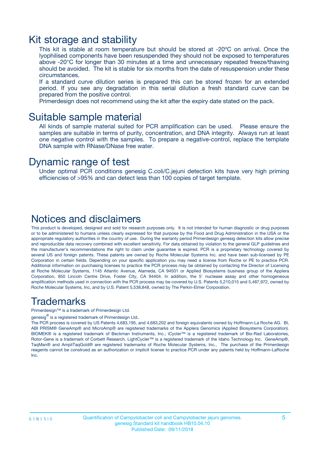### Kit storage and stability

This kit is stable at room temperature but should be stored at -20ºC on arrival. Once the lyophilised components have been resuspended they should not be exposed to temperatures above -20°C for longer than 30 minutes at a time and unnecessary repeated freeze/thawing should be avoided. The kit is stable for six months from the date of resuspension under these circumstances.

If a standard curve dilution series is prepared this can be stored frozen for an extended period. If you see any degradation in this serial dilution a fresh standard curve can be prepared from the positive control.

Primerdesign does not recommend using the kit after the expiry date stated on the pack.

### Suitable sample material

All kinds of sample material suited for PCR amplification can be used. Please ensure the samples are suitable in terms of purity, concentration, and DNA integrity. Always run at least one negative control with the samples. To prepare a negative-control, replace the template DNA sample with RNase/DNase free water.

### Dynamic range of test

Under optimal PCR conditions genesig C.coli/C.jejuni detection kits have very high priming efficiencies of >95% and can detect less than 100 copies of target template.

### Notices and disclaimers

This product is developed, designed and sold for research purposes only. It is not intended for human diagnostic or drug purposes or to be administered to humans unless clearly expressed for that purpose by the Food and Drug Administration in the USA or the appropriate regulatory authorities in the country of use. During the warranty period Primerdesign genesig detection kits allow precise and reproducible data recovery combined with excellent sensitivity. For data obtained by violation to the general GLP guidelines and the manufacturer's recommendations the right to claim under guarantee is expired. PCR is a proprietary technology covered by several US and foreign patents. These patents are owned by Roche Molecular Systems Inc. and have been sub-licensed by PE Corporation in certain fields. Depending on your specific application you may need a license from Roche or PE to practice PCR. Additional information on purchasing licenses to practice the PCR process may be obtained by contacting the Director of Licensing at Roche Molecular Systems, 1145 Atlantic Avenue, Alameda, CA 94501 or Applied Biosystems business group of the Applera Corporation, 850 Lincoln Centre Drive, Foster City, CA 94404. In addition, the 5' nuclease assay and other homogeneous amplification methods used in connection with the PCR process may be covered by U.S. Patents 5,210,015 and 5,487,972, owned by Roche Molecular Systems, Inc, and by U.S. Patent 5,538,848, owned by The Perkin-Elmer Corporation.

### Trademarks

Primerdesign™ is a trademark of Primerdesign Ltd.

genesig $^\circledR$  is a registered trademark of Primerdesign Ltd.

The PCR process is covered by US Patents 4,683,195, and 4,683,202 and foreign equivalents owned by Hoffmann-La Roche AG. BI, ABI PRISM® GeneAmp® and MicroAmp® are registered trademarks of the Applera Genomics (Applied Biosystems Corporation). BIOMEK® is a registered trademark of Beckman Instruments, Inc.; iCycler™ is a registered trademark of Bio-Rad Laboratories, Rotor-Gene is a trademark of Corbett Research. LightCycler™ is a registered trademark of the Idaho Technology Inc. GeneAmp®, TaqMan® and AmpliTaqGold® are registered trademarks of Roche Molecular Systems, Inc., The purchase of the Primerdesign reagents cannot be construed as an authorization or implicit license to practice PCR under any patents held by Hoffmann-LaRoche Inc.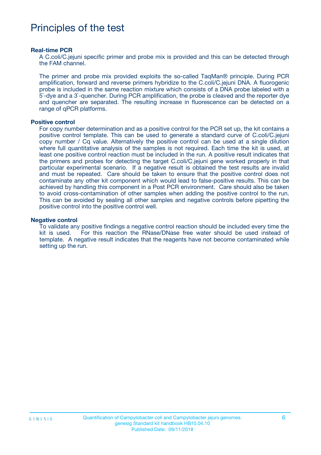### Principles of the test

#### **Real-time PCR**

A C.coli/C.jejuni specific primer and probe mix is provided and this can be detected through the FAM channel.

The primer and probe mix provided exploits the so-called TaqMan® principle. During PCR amplification, forward and reverse primers hybridize to the C.coli/C.jejuni DNA. A fluorogenic probe is included in the same reaction mixture which consists of a DNA probe labeled with a 5`-dye and a 3`-quencher. During PCR amplification, the probe is cleaved and the reporter dye and quencher are separated. The resulting increase in fluorescence can be detected on a range of qPCR platforms.

#### **Positive control**

For copy number determination and as a positive control for the PCR set up, the kit contains a positive control template. This can be used to generate a standard curve of C.coli/C.jejuni copy number / Cq value. Alternatively the positive control can be used at a single dilution where full quantitative analysis of the samples is not required. Each time the kit is used, at least one positive control reaction must be included in the run. A positive result indicates that the primers and probes for detecting the target C.coli/C.jejuni gene worked properly in that particular experimental scenario. If a negative result is obtained the test results are invalid and must be repeated. Care should be taken to ensure that the positive control does not contaminate any other kit component which would lead to false-positive results. This can be achieved by handling this component in a Post PCR environment. Care should also be taken to avoid cross-contamination of other samples when adding the positive control to the run. This can be avoided by sealing all other samples and negative controls before pipetting the positive control into the positive control well.

#### **Negative control**

To validate any positive findings a negative control reaction should be included every time the kit is used. For this reaction the RNase/DNase free water should be used instead of template. A negative result indicates that the reagents have not become contaminated while setting up the run.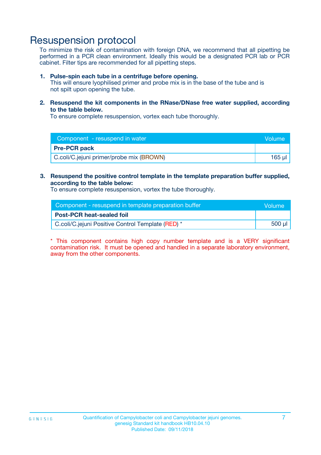### Resuspension protocol

To minimize the risk of contamination with foreign DNA, we recommend that all pipetting be performed in a PCR clean environment. Ideally this would be a designated PCR lab or PCR cabinet. Filter tips are recommended for all pipetting steps.

#### **1. Pulse-spin each tube in a centrifuge before opening.**

This will ensure lyophilised primer and probe mix is in the base of the tube and is not spilt upon opening the tube.

**2. Resuspend the kit components in the RNase/DNase free water supplied, according to the table below.**

To ensure complete resuspension, vortex each tube thoroughly.

| Component - resuspend in water           | Volume |
|------------------------------------------|--------|
| <b>Pre-PCR pack</b>                      |        |
| C.coli/C.jejuni primer/probe mix (BROWN) | 165 ul |

#### **3. Resuspend the positive control template in the template preparation buffer supplied, according to the table below:**

To ensure complete resuspension, vortex the tube thoroughly.

| Component - resuspend in template preparation buffer | lVolume' |
|------------------------------------------------------|----------|
| <b>Post-PCR heat-sealed foil</b>                     |          |
| C.coli/C.jejuni Positive Control Template (RED) *    | 500 µl   |

\* This component contains high copy number template and is a VERY significant contamination risk. It must be opened and handled in a separate laboratory environment, away from the other components.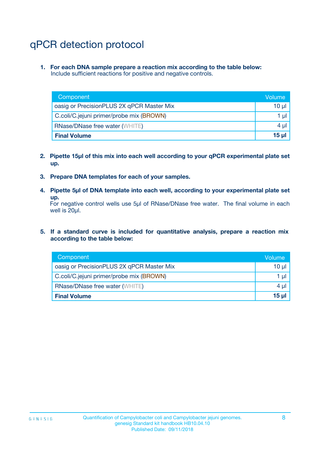# qPCR detection protocol

**1. For each DNA sample prepare a reaction mix according to the table below:** Include sufficient reactions for positive and negative controls.

| Component                                 | Volume   |
|-------------------------------------------|----------|
| oasig or PrecisionPLUS 2X qPCR Master Mix | 10 $\mu$ |
| C.coli/C.jejuni primer/probe mix (BROWN)  | 1 $\mu$  |
| <b>RNase/DNase free water (WHITE)</b>     | $4 \mu$  |
| <b>Final Volume</b>                       | $15$ µ   |

- **2. Pipette 15µl of this mix into each well according to your qPCR experimental plate set up.**
- **3. Prepare DNA templates for each of your samples.**
- **4. Pipette 5µl of DNA template into each well, according to your experimental plate set up.**

For negative control wells use 5µl of RNase/DNase free water. The final volume in each well is 20µl.

**5. If a standard curve is included for quantitative analysis, prepare a reaction mix according to the table below:**

| Component                                 | Volume   |
|-------------------------------------------|----------|
| oasig or PrecisionPLUS 2X qPCR Master Mix | $10 \mu$ |
| C.coli/C.jejuni primer/probe mix (BROWN)  | 1 µI     |
| <b>RNase/DNase free water (WHITE)</b>     | $4 \mu$  |
| <b>Final Volume</b>                       | $15$ µ   |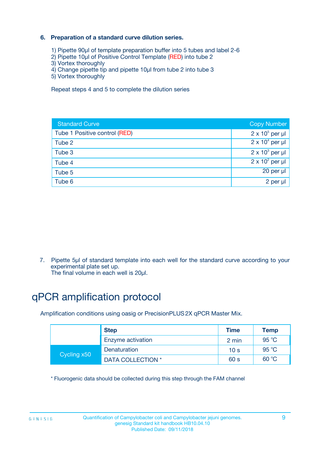### **6. Preparation of a standard curve dilution series.**

- 1) Pipette 90µl of template preparation buffer into 5 tubes and label 2-6
- 2) Pipette 10µl of Positive Control Template (RED) into tube 2
- 3) Vortex thoroughly
- 4) Change pipette tip and pipette 10µl from tube 2 into tube 3
- 5) Vortex thoroughly

Repeat steps 4 and 5 to complete the dilution series

| <b>Standard Curve</b>         | <b>Copy Number</b>     |
|-------------------------------|------------------------|
| Tube 1 Positive control (RED) | $2 \times 10^5$ per µl |
| Tube 2                        | $2 \times 10^4$ per µl |
| Tube 3                        | $2 \times 10^3$ per µl |
| Tube 4                        | $2 \times 10^2$ per µl |
| Tube 5                        | 20 per µl              |
| Tube 6                        | 2 per µl               |

7. Pipette 5µl of standard template into each well for the standard curve according to your experimental plate set up.

The final volume in each well is 20µl.

# qPCR amplification protocol

Amplification conditions using oasig or PrecisionPLUS2X qPCR Master Mix.

| <b>Step</b> |                   | <b>Time</b>     | Temp           |
|-------------|-------------------|-----------------|----------------|
|             | Enzyme activation | 2 min           | $95^{\circ}$ C |
| Cycling x50 | Denaturation      | 10 <sub>s</sub> | 95 $°C$        |
|             | DATA COLLECTION * | 60 s            | 60 °C          |

\* Fluorogenic data should be collected during this step through the FAM channel